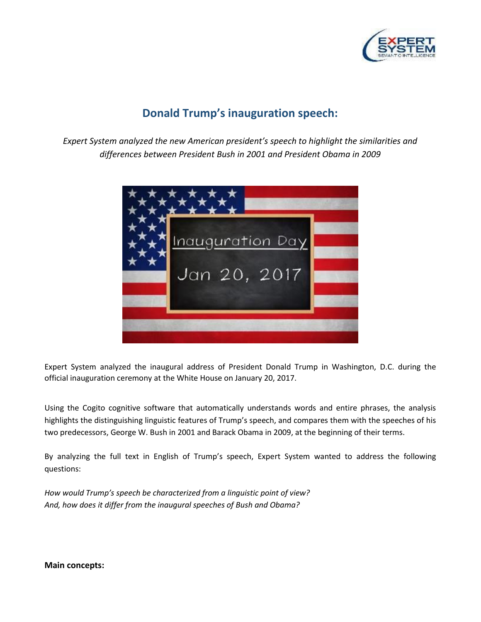

## **Donald Trump's inauguration speech:**

*Expert System analyzed the new American president's speech to highlight the similarities and differences between President Bush in 2001 and President Obama in 2009*



Expert System analyzed the inaugural address of President Donald Trump in Washington, D.C. during the official inauguration ceremony at the White House on January 20, 2017.

Using the Cogito cognitive software that automatically understands words and entire phrases, the analysis highlights the distinguishing linguistic features of Trump's speech, and compares them with the speeches of his two predecessors, George W. Bush in 2001 and Barack Obama in 2009, at the beginning of their terms.

By analyzing the full text in English of Trump's speech, Expert System wanted to address the following questions:

*How would Trump's speech be characterized from a linguistic point of view? And, how does it differ from the inaugural speeches of Bush and Obama?*

**Main concepts:**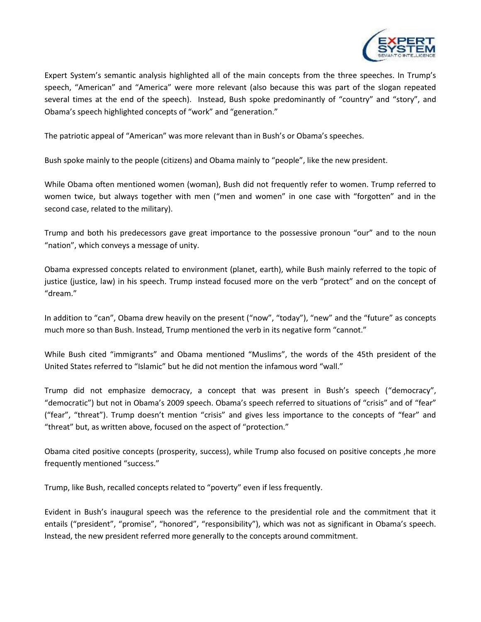

Expert System's semantic analysis highlighted all of the main concepts from the three speeches. In Trump's speech, "American" and "America" were more relevant (also because this was part of the slogan repeated several times at the end of the speech). Instead, Bush spoke predominantly of "country" and "story", and Obama's speech highlighted concepts of "work" and "generation."

The patriotic appeal of "American" was more relevant than in Bush's or Obama's speeches.

Bush spoke mainly to the people (citizens) and Obama mainly to "people", like the new president.

While Obama often mentioned women (woman), Bush did not frequently refer to women. Trump referred to women twice, but always together with men ("men and women" in one case with "forgotten" and in the second case, related to the military).

Trump and both his predecessors gave great importance to the possessive pronoun "our" and to the noun "nation", which conveys a message of unity.

Obama expressed concepts related to environment (planet, earth), while Bush mainly referred to the topic of justice (justice, law) in his speech. Trump instead focused more on the verb "protect" and on the concept of "dream."

In addition to "can", Obama drew heavily on the present ("now", "today"), "new" and the "future" as concepts much more so than Bush. Instead, Trump mentioned the verb in its negative form "cannot."

While Bush cited "immigrants" and Obama mentioned "Muslims", the words of the 45th president of the United States referred to "Islamic" but he did not mention the infamous word "wall."

Trump did not emphasize democracy, a concept that was present in Bush's speech ("democracy", "democratic") but not in Obama's 2009 speech. Obama's speech referred to situations of "crisis" and of "fear" ("fear", "threat"). Trump doesn't mention "crisis" and gives less importance to the concepts of "fear" and "threat" but, as written above, focused on the aspect of "protection."

Obama cited positive concepts (prosperity, success), while Trump also focused on positive concepts ,he more frequently mentioned "success."

Trump, like Bush, recalled concepts related to "poverty" even if less frequently.

Evident in Bush's inaugural speech was the reference to the presidential role and the commitment that it entails ("president", "promise", "honored", "responsibility"), which was not as significant in Obama's speech. Instead, the new president referred more generally to the concepts around commitment.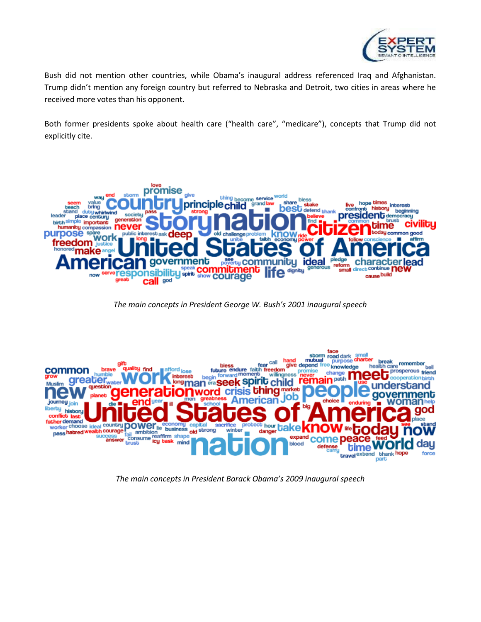

Bush did not mention other countries, while Obama's inaugural address referenced Iraq and Afghanistan. Trump didn't mention any foreign country but referred to Nebraska and Detroit, two cities in areas where he received more votes than his opponent.

Both former presidents spoke about health care ("health care", "medicare"), concepts that Trump did not explicitly cite.



*The main concepts in President George W. Bush's 2001 inaugural speech* 



*The main concepts in President Barack Obama's 2009 inaugural speech*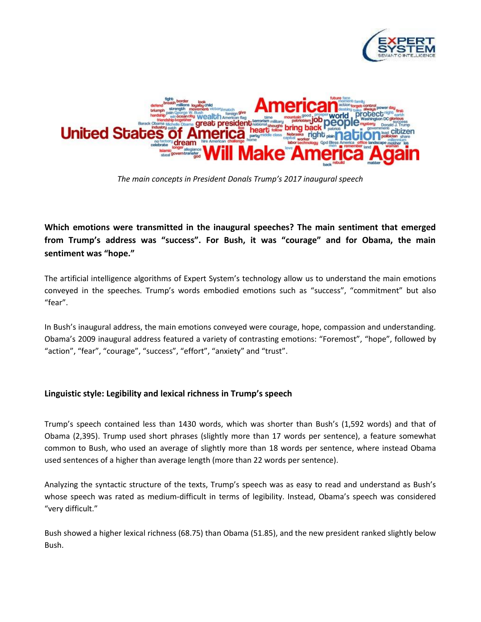



*The main concepts in President Donals Trump's 2017 inaugural speech* 

**Which emotions were transmitted in the inaugural speeches? The main sentiment that emerged from Trump's address was "success". For Bush, it was "courage" and for Obama, the main sentiment was "hope."**

The artificial intelligence algorithms of Expert System's technology allow us to understand the main emotions conveyed in the speeches. Trump's words embodied emotions such as "success", "commitment" but also "fear".

In Bush's inaugural address, the main emotions conveyed were courage, hope, compassion and understanding. Obama's 2009 inaugural address featured a variety of contrasting emotions: "Foremost", "hope", followed by "action", "fear", "courage", "success", "effort", "anxiety" and "trust".

## **Linguistic style: Legibility and lexical richness in Trump's speech**

Trump's speech contained less than 1430 words, which was shorter than Bush's (1,592 words) and that of Obama (2,395). Trump used short phrases (slightly more than 17 words per sentence), a feature somewhat common to Bush, who used an average of slightly more than 18 words per sentence, where instead Obama used sentences of a higher than average length (more than 22 words per sentence).

Analyzing the syntactic structure of the texts, Trump's speech was as easy to read and understand as Bush's whose speech was rated as medium-difficult in terms of legibility. Instead, Obama's speech was considered "very difficult."

Bush showed a higher lexical richness (68.75) than Obama (51.85), and the new president ranked slightly below Bush.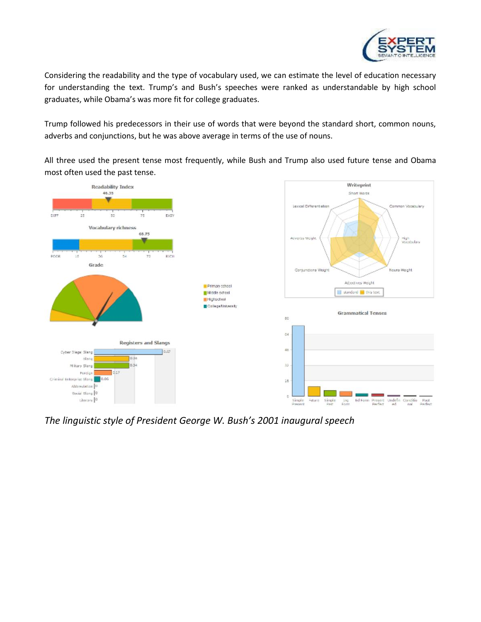

Considering the readability and the type of vocabulary used, we can estimate the level of education necessary for understanding the text. Trump's and Bush's speeches were ranked as understandable by high school graduates, while Obama's was more fit for college graduates.

Trump followed his predecessors in their use of words that were beyond the standard short, common nouns, adverbs and conjunctions, but he was above average in terms of the use of nouns.

All three used the present tense most frequently, while Bush and Trump also used future tense and Obama most often used the past tense.



*The linguistic style of President George W. Bush's 2001 inaugural speech*